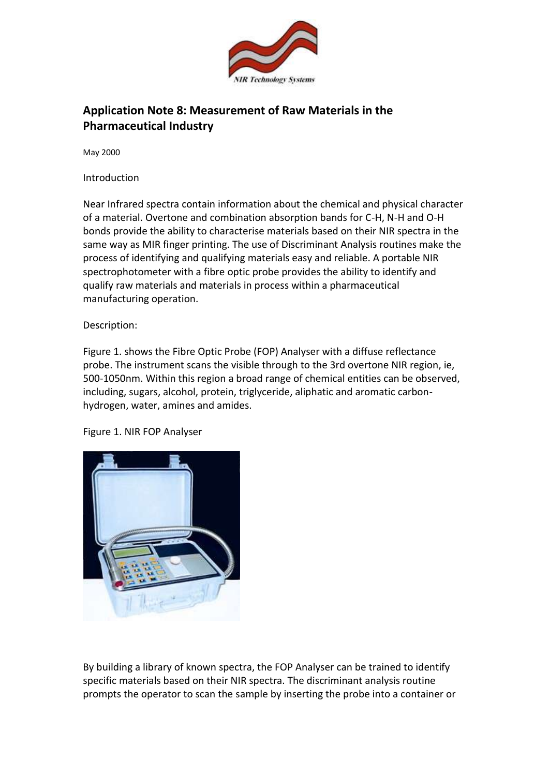

## **Application Note 8: Measurement of Raw Materials in the Pharmaceutical Industry**

May 2000

Introduction

Near Infrared spectra contain information about the chemical and physical character of a material. Overtone and combination absorption bands for C-H, N-H and O-H bonds provide the ability to characterise materials based on their NIR spectra in the same way as MIR finger printing. The use of Discriminant Analysis routines make the process of identifying and qualifying materials easy and reliable. A portable NIR spectrophotometer with a fibre optic probe provides the ability to identify and qualify raw materials and materials in process within a pharmaceutical manufacturing operation.

Description:

Figure 1. shows the Fibre Optic Probe (FOP) Analyser with a diffuse reflectance probe. The instrument scans the visible through to the 3rd overtone NIR region, ie, 500-1050nm. Within this region a broad range of chemical entities can be observed, including, sugars, alcohol, protein, triglyceride, aliphatic and aromatic carbonhydrogen, water, amines and amides.

Figure 1. NIR FOP Analyser



By building a library of known spectra, the FOP Analyser can be trained to identify specific materials based on their NIR spectra. The discriminant analysis routine prompts the operator to scan the sample by inserting the probe into a container or